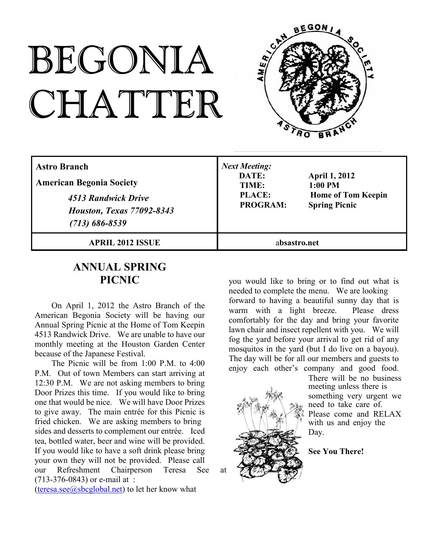# BEGONIA CHATTER



| <b>Astro Branch</b><br><b>American Begonia Society</b><br>4513 Randwick Drive<br><b>Houston, Texas 77092-8343</b><br>$(713) 686 - 8539$ | <b>Next Meeting:</b><br>DATE:<br>TIME:<br><b>PLACE:</b><br><b>PROGRAM:</b> | <b>April 1, 2012</b><br>$1:00$ PM<br><b>Home of Tom Keepin</b><br><b>Spring Picnic</b> |
|-----------------------------------------------------------------------------------------------------------------------------------------|----------------------------------------------------------------------------|----------------------------------------------------------------------------------------|
| <b>APRIL 2012 ISSUE</b>                                                                                                                 | absastro.net                                                               |                                                                                        |

#### **ANNUAL SPRING PICNIC**

On April 1, 2012 the Astro Branch of the American Begonia Society will be having our Annual Spring Picnic at the Home of Tom Keepin 4513 Randwick Drive. We are unable to have our monthly meeting at the Houston Garden Center because of the Japanese Festival.

The Picnic will be from 1:00 P.M. to 4:00 P.M. Out of town Members can start arriving at 12:30 P.M. We are not asking members to bring Door Prizes this time. If you would like to bring one that would be nice. We will have Door Prizes to give away. The main entrée for this Picnic is fried chicken. We are asking members to bring sides and desserts to complement our entrée. Iced tea, bottled water, beer and wine will be provided. If you would like to have a soft drink please bring your own they will not be provided. Please call our Refreshment Chairperson Teresa See at (713-376-0843) or e-mail at :

(teresa.see $@$ sbcglobal.net) to let her know what

you would like to bring or to find out what is needed to complete the menu. We are looking forward to having a beautiful sunny day that is warm with a light breeze. Please dress comfortably for the day and bring your favorite lawn chair and insect repellent with you. We will fog the yard before your arrival to get rid of any mosquitos in the yard (but I do live on a bayou). The day will be for all our members and guests to enjoy each other's company and good food.



There will be no business meeting unless there is something very urgent we need to take care of. Please come and RELAX with us and enjoy the Day.

**See You There!**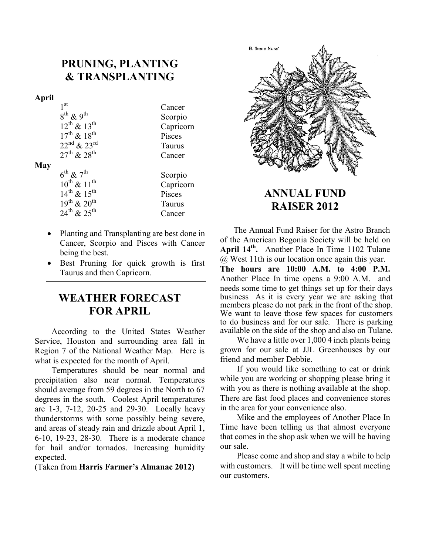#### **PRUNING, PLANTING & TRANSPLANTING**

#### **April**

| 1 <sup>st</sup>            | Cancer    |
|----------------------------|-----------|
| $8^{th}$ & 9 <sup>th</sup> | Scorpio   |
| $12^{th}$ & $13^{th}$      | Capricorn |
| $17^{th}$ & $18^{th}$      | Pisces    |
| $22^{nd}$ & $23^{rd}$      | Taurus    |
| $27^{th}$ & $28^{th}$      | Cancer    |
|                            |           |

#### **May**

| $6^{\text{th}}$ & $7^{\text{th}}$ | Scorpio   |
|-----------------------------------|-----------|
| $10^{th}$ & $11^{th}$             | Capricorn |
| $14^{th}$ & $15^{th}$             | Pisces    |
| $19^{th}$ & $20^{th}$             | Taurus    |
| $24^{th}$ & $25^{th}$             | Cancer    |

- Planting and Transplanting are best done in Cancer, Scorpio and Pisces with Cancer being the best.
- Best Pruning for quick growth is first Taurus and then Capricorn.

#### **WEATHER FORECAST FOR APRIL**

According to the United States Weather Service, Houston and surrounding area fall in Region 7 of the National Weather Map. Here is what is expected for the month of April.

Temperatures should be near normal and precipitation also near normal. Temperatures should average from 59 degrees in the North to 67 degrees in the south. Coolest April temperatures are 1-3, 7-12, 20-25 and 29-30. Locally heavy thunderstorms with some possibly being severe, and areas of steady rain and drizzle about April 1, 6-10, 19-23, 28-30. There is a moderate chance for hail and/or tornados. Increasing humidity expected.

(Taken from **Harris Farmer's Almanac 2012)**



### **ANNUAL FUND RAISER 2012**

The Annual Fund Raiser for the Astro Branch of the American Begonia Society will be held on **April 14th .** Another Place In Time 1102 Tulane @ West 11th is our location once again this year.

**The hours are 10:00 A.M. to 4:00 P.M.** Another Place In time opens a 9:00 A.M. and needs some time to get things set up for their days business As it is every year we are asking that members please do not park in the front of the shop. We want to leave those few spaces for customers to do business and for our sale. There is parking available on the side of the shop and also on Tulane.

We have a little over 1,000 4 inch plants being grown for our sale at JJL Greenhouses by our friend and member Debbie.

If you would like something to eat or drink while you are working or shopping please bring it with you as there is nothing available at the shop. There are fast food places and convenience stores in the area for your convenience also.

Mike and the employees of Another Place In Time have been telling us that almost everyone that comes in the shop ask when we will be having our sale.

Please come and shop and stay a while to help with customers. It will be time well spent meeting our customers.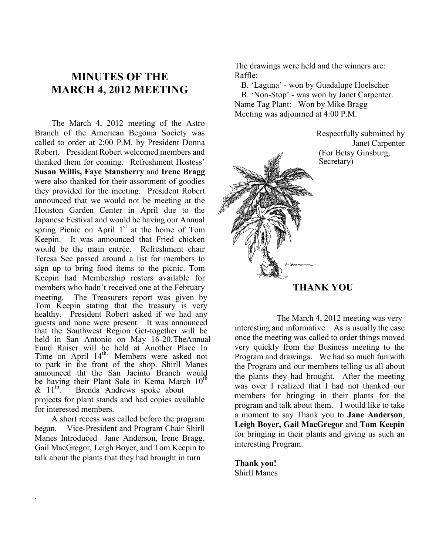#### **MINUTES OF THE MARCH 4, 2012 MEETING**

The March 4, 2012 meeting of the Astro Branch of the American Begonia Society was called to order at 2:00 P.M. by President Donna Robert. President Robert welcomed members and thanked them for coming. Refreshment Hostess' **Susan Willis, Faye Stansberry** and **Irene Bragg** were also thanked for their assortment of goodies they provided for the meeting. President Robert announced that we would not be meeting at the Houston Garden Center in April due to the Japanese Festival and would be having our Annual spring Picnic on April  $1<sup>st</sup>$  at the home of Tom Keepin. It was announced that Fried chicken would be the main entrée. Refreshment chair Teresa See passed around a list for members to sign up to bring food items to the picnic. Tom Keepin had Membership rosters available for members who hadn't received one at the February meeting. The Treasurers report was given by Tom Keepin stating that the treasury is very healthy. President Robert asked if we had any guests and none were present. It was announced that the Southwest Region Get-together will be held in San Antonio on May 16-20. TheAnnual Fund Raiser will be held at Another Place In Time on April 14<sup>th.</sup> Members were asked not to park in the front of the shop. Shirll Manes announced tht the San Jacinto Branch would be having their Plant Sale in Kema March  $10^{th}$ <br>&  $11^{th}$ . Brenda Andrews spoke about Brenda Andrews spoke about projects for plant stands and had copies available for interested members.

A short recess was called before the program began. Vice-President and Program Chair Shirll Manes Introduced Jane Anderson, Irene Bragg, Gail MacGregor, Leigh Boyer, and Tom Keepin to talk about the plants that they had brought in turn

.

The drawings were held and the winners are: Raffle:

B. 'Laguna' - won by Guadalupe Hoelscher B. 'Non-Stop' - was won by Janet Carpenter. Name Tag Plant: Won by Mike Bragg Meeting was adjourned at 4:00 P.M.

> Respectfully submitted by Janet Carpenter (For Betsy Ginsburg, Secretary)



#### **THANK YOU**

 The March 4, 2012 meeting was very interesting and informative. As is usually the case once the meeting was called to order things moved very quickly from the Business meeting to the Program and drawings. We had so much fun with the Program and our members telling us all about the plants they had brought. After the meeting was over I realized that I had not thanked our members for bringing in their plants for the program and talk about them. I would like to take a moment to say Thank you to **Jane Anderson**, **Leigh Boyer, Gail MacGregor** and **Tom Keepin** for bringing in their plants and giving us such an interesting Program.

**Thank you!** Shirll Manes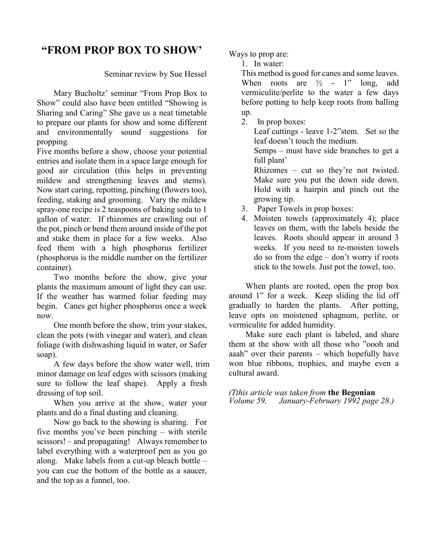### **"FROM PROP BOX TO SHOW'**

Seminar review by Sue Hessel

Mary Bucholtz' seminar "From Prop Box to Show" could also have been entitled "Showing is Sharing and Caring" She gave us a neat timetable to prepare our plants for show and some different and environmentally sound suggestions for propping.

Five months before a show, choose your potential entries and isolate them in a space large enough for good air circulation (this helps in preventing mildew and strengthening leaves and stems). Now start caring, repotting, pinching (flowers too), feeding, staking and grooming. Vary the mildew spray-one recipe is 2 teaspoons of baking soda to 1 gallon of water. If rhizomes are crawling out of the pot, pinch or bend them around inside of the pot and stake them in place for a few weeks. Also feed them with a high phosphorus fertilizer (phosphorus is the middle number on the fertilizer container).

Two months before the show, give your plants the maximum amount of light they can use. If the weather has warmed foliar feeding may begin. Canes get higher phosphorus once a week now.

One month before the show, trim your stakes, clean the pots (with vinegar and water), and clean foliage (with dishwashing liquid in water, or Safer soap).

A few days before the show water well, trim minor damage on leaf edges with scissors (making sure to follow the leaf shape). Apply a fresh dressing of top soil.

When you arrive at the show, water your plants and do a final dusting and cleaning.

Now go back to the showing is sharing. For five months you've been pinching – with sterile scissors! – and propagating! Always remember to label everything with a waterproof pen as you go along. Make labels from a cut-up bleach bottle – you can cue the bottom of the bottle as a saucer, and the top as a funnel, too.

Ways to prop are:

1. In water:

This method is good for canes and some leaves. When roots are  $\frac{1}{2}$  - 1" long, add vermiculite/perlite to the water a few days before potting to help keep roots from balling up.

2. In prop boxes:

Leaf cuttings - leave 1-2"stem. Set so the leaf doesn't touch the medium. Semps – must have side branches to get a full plant' Rhizomes – cut so they're not twisted. Make sure you put the down side down. Hold with a hairpin and pinch out the growing tip. 3. Paper Towels in prop boxes:

4. Moisten towels (approximately 4); place leaves on them, with the labels beside the leaves. Roots should appear in around 3 weeks. If you need to re-moisten towels do so from the edge – don't worry if roots stick to the towels. Just pot the towel, too.

When plants are rooted, open the prop box around 1" for a week. Keep sliding the lid off gradually to harden the plants. After potting, leave opts on moistened sphagnum, perlite, or vermiculite for added humidity.

Make sure each plant is labeled, and share them at the show with all those who "oooh and aaah" over their parents – which hopefully have won blue ribbons, trophies, and maybe even a cultural award.

*(Tthis article was taken from* **the Begonian** *Volume 59, January-February 1992 page 28.)*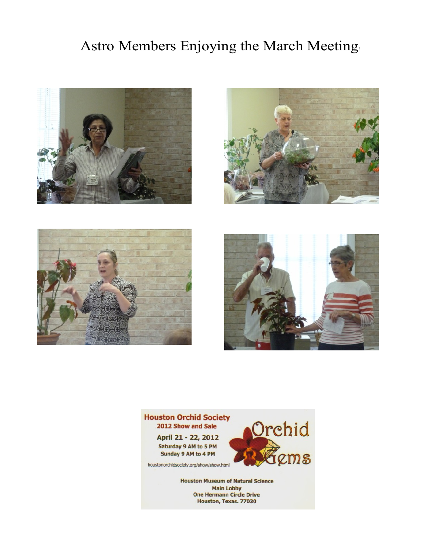# Astro Members Enjoying the March Meeting!











**Main Lobby One Hermann Circle Drive** Houston, Texas. 77030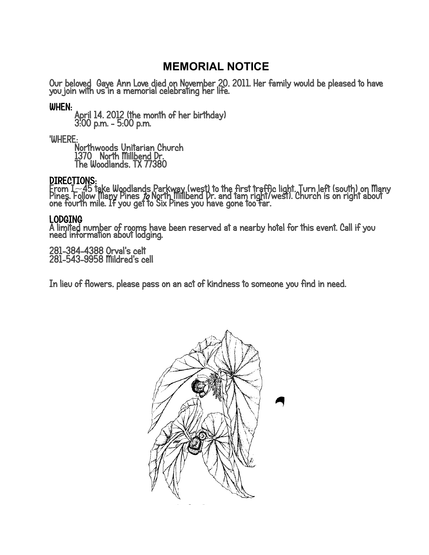## **MEMORIAL NOTICE**

Our beloved Gaye Ann Love died on November 20, 2011. Her family would be pleased to have<br>you join with us in a memorial celebrating her life.

#### WHEN:

April 14. 2012 (the month of her birthday) 3:00 p.m. - 5:00 p.m.

'WHERE:

Northwoods Unitarian Church 1370 North Millbend Dr. The Woodlands, TX 77380

DIRECTIONS:<br>From I~45 take Woodlands Parkway (west) to the first traffic light. Turn left (south) on Many<br>Pines. Follow Many Pines *to* North Millbend Dr. and tam right/west). Church is on right about<br>one fourth mile. If y

#### **LODGING**

A limited number of rooms have been reserved at a nearby hotel for this event. Call if you need information about lodging.

281-384-4388 Orval's celt 281-543-9958 Mildred's cell

In lieu of flowers, please pass on an act of kindness to someone you find in need.